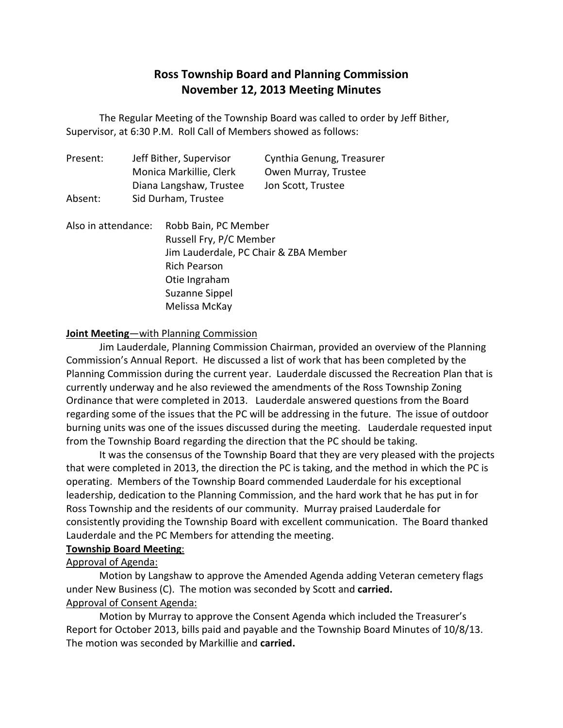# **Ross Township Board and Planning Commission November 12, 2013 Meeting Minutes**

 The Regular Meeting of the Township Board was called to order by Jeff Bither, Supervisor, at 6:30 P.M. Roll Call of Members showed as follows:

| Present: | Jeff Bither, Supervisor | Cynthia Genung, Treasurer |
|----------|-------------------------|---------------------------|
|          | Monica Markillie, Clerk | Owen Murray, Trustee      |
|          | Diana Langshaw, Trustee | Jon Scott, Trustee        |
| Absent:  | Sid Durham, Trustee     |                           |
|          |                         |                           |

Also in attendance: Russell Fry, P/C Member Jim Lauderdale, PC Chair & ZBA Member Suzanne Sippel Melissa McKay Robb Bain, PC Member Rich Pearson Otie Ingraham

## **Joint Meeting**—with Planning Commission

 Commission's Annual Report. He discussed a list of work that has been completed by the Planning Commission during the current year. Lauderdale discussed the Recreation Plan that is currently underway and he also reviewed the amendments of the Ross Township Zoning Ordinance that were completed in 2013. Lauderdale answered questions from the Board regarding some of the issues that the PC will be addressing in the future. The issue of outdoor burning units was one of the issues discussed during the meeting. Lauderdale requested input from the Township Board regarding the direction that the PC should be taking. Jim Lauderdale, Planning Commission Chairman, provided an overview of the Planning

 that were completed in 2013, the direction the PC is taking, and the method in which the PC is operating. Members of the Township Board commended Lauderdale for his exceptional leadership, dedication to the Planning Commission, and the hard work that he has put in for Ross Township and the residents of our community. Murray praised Lauderdale for consistently providing the Township Board with excellent communication. The Board thanked Lauderdale and the PC Members for attending the meeting. It was the consensus of the Township Board that they are very pleased with the projects

## **Township Board Meeting**:

# Approval of Agenda:

 Motion by Langshaw to approve the Amended Agenda adding Veteran cemetery flags under New Business (C). The motion was seconded by Scott and **carried.**  Approval of Consent Agenda:

 Report for October 2013, bills paid and payable and the Township Board Minutes of 10/8/13. The motion was seconded by Markillie and **carried.** Motion by Murray to approve the Consent Agenda which included the Treasurer's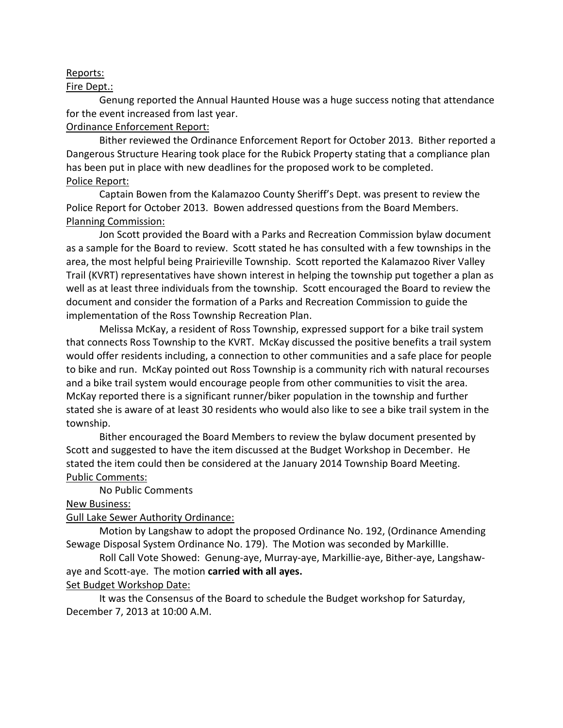#### Reports:

#### Fire Dept.:

 Genung reported the Annual Haunted House was a huge success noting that attendance for the event increased from last year.

## Ordinance Enforcement Report:

 Bither reviewed the Ordinance Enforcement Report for October 2013. Bither reported a Dangerous Structure Hearing took place for the Rubick Property stating that a compliance plan has been put in place with new deadlines for the proposed work to be completed. Police Report:

 Captain Bowen from the Kalamazoo County Sheriff's Dept. was present to review the Police Report for October 2013. Bowen addressed questions from the Board Members. Planning Commission:

 as a sample for the Board to review. Scott stated he has consulted with a few townships in the area, the most helpful being Prairieville Township. Scott reported the Kalamazoo River Valley Trail (KVRT) representatives have shown interest in helping the township put together a plan as well as at least three individuals from the township. Scott encouraged the Board to review the document and consider the formation of a Parks and Recreation Commission to guide the implementation of the Ross Township Recreation Plan. Jon Scott provided the Board with a Parks and Recreation Commission bylaw document

 Melissa McKay, a resident of Ross Township, expressed support for a bike trail system that connects Ross Township to the KVRT. McKay discussed the positive benefits a trail system would offer residents including, a connection to other communities and a safe place for people to bike and run. McKay pointed out Ross Township is a community rich with natural recourses and a bike trail system would encourage people from other communities to visit the area. McKay reported there is a significant runner/biker population in the township and further stated she is aware of at least 30 residents who would also like to see a bike trail system in the township. township. Bither encouraged the Board Members to review the bylaw document presented by

 Scott and suggested to have the item discussed at the Budget Workshop in December. He stated the item could then be considered at the January 2014 Township Board Meeting. Public Comments:

No Public Comments

**New Business:** 

#### Gull Lake Sewer Authority Ordinance:

 Motion by Langshaw to adopt the proposed Ordinance No. 192, (Ordinance Amending Sewage Disposal System Ordinance No. 179). The Motion was seconded by MarkillIe.

 aye and Scott-aye. The motion **carried with all ayes.**  Roll Call Vote Showed: Genung-aye, Murray-aye, Markillie-aye, Bither-aye, Langshaw-

# Set Budget Workshop Date:

 December 7, 2013 at 10:00 A.M. It was the Consensus of the Board to schedule the Budget workshop for Saturday,